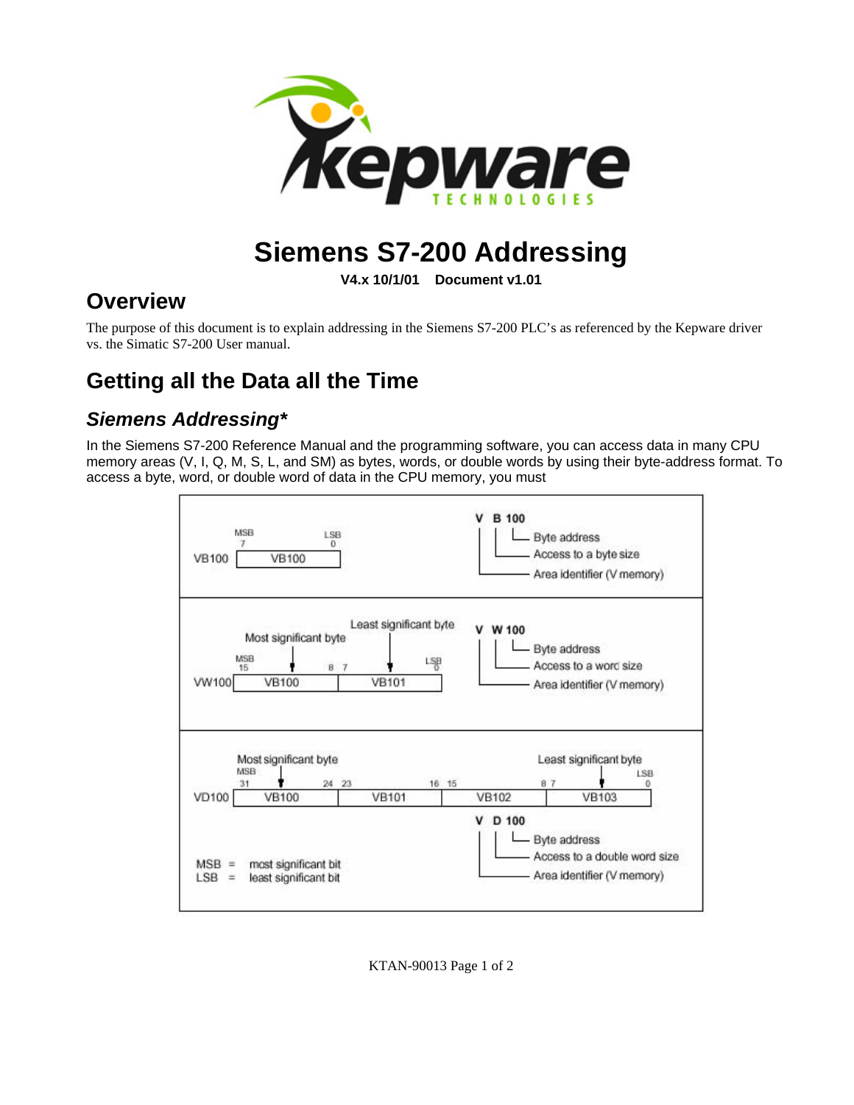

# **Siemens S7-200 Addressing**

**V4.x 10/1/01 Document v1.01**

### **Overview**

The purpose of this document is to explain addressing in the Siemens S7-200 PLC's as referenced by the Kepware driver vs. the Simatic S7-200 User manual.

## **Getting all the Data all the Time**

#### *Siemens Addressing\**

In the Siemens S7-200 Reference Manual and the programming software, you can access data in many CPU memory areas (V, I, Q, M, S, L, and SM) as bytes, words, or double words by using their byte-address format. To access a byte, word, or double word of data in the CPU memory, you must



KTAN-90013 Page 1 of 2